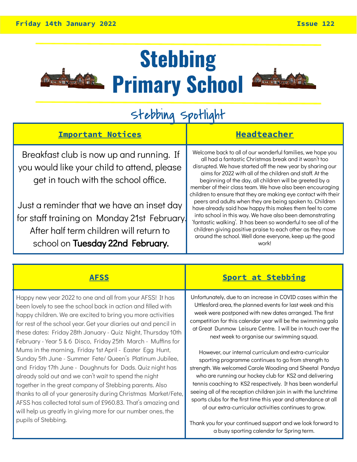

## **Stebbing Primary School**



### Stebbing Spotlight

| Breakfast club is now up and running. If                                                                                                                                                                                                                       | <b>Headteacher</b>                                                                                                                                                                                                                                                                                                                                                                                                                                                                                                                                                                                                                                                                                                                                                                                                               |
|----------------------------------------------------------------------------------------------------------------------------------------------------------------------------------------------------------------------------------------------------------------|----------------------------------------------------------------------------------------------------------------------------------------------------------------------------------------------------------------------------------------------------------------------------------------------------------------------------------------------------------------------------------------------------------------------------------------------------------------------------------------------------------------------------------------------------------------------------------------------------------------------------------------------------------------------------------------------------------------------------------------------------------------------------------------------------------------------------------|
| you would like your child to attend, please<br>get in touch with the school office.<br>Just a reminder that we have an inset day<br>for staff training on Monday 21st February.<br>After half term children will return to<br>school on Tuesday 22nd February. | Welcome back to all of our wonderful families, we hope you<br>all had a fantastic Christmas break and it wasn't too<br>disrupted. We have started off the new year by sharing our<br>aims for 2022 with all of the children and staff. At the<br>beginning of the day, all children will be greeted by a<br>member of their class team. We have also been encouraging<br>children to ensure that they are making eye contact with their<br>peers and adults when they are being spoken to. Children<br>have already said how happy this makes them feel to come<br>into school in this way. We have also been demonstrating<br>'fantastic walking'. It has been so wonderful to see all of the<br>children giving positive praise to each other as they move<br>around the school. Well done everyone, keep up the good<br>work! |

#### **AFSS Sport at Stebbing** Happy new year 2022 to one and all from your AFSS! It has been lovely to see the school back in action and filled with happy children. We are excited to bring you more activities for rest of the school year. Get your diaries out and pencil in these dates: Friday 28th January - Quiz Night, Thursday 10th February - Year 5 & 6 Disco, Friday 25th March - Muffins for Mums in the morning, Friday 1st April - Easter Egg Hunt, Sunday 5th June - Summer Fete/ Queen's Platinum Jubilee, and Friday 17th June - Doughnuts for Dads. Quiz night has already sold out and we can't wait to spend the night together in the great company of Stebbing parents. Also thanks to all of your generosity during Christmas Market/Fete, AFSS has collected total sum of £960.83. That's amazing and will help us greatly in giving more for our number ones, the pupils of Stebbing. Unfortunately, due to an increase in COVID cases within the Uttlesford area, the planned events for last week and this week were postponed with new dates arranged. The first competition for this calendar year will be the swimming gala at Great Dunmow Leisure Centre. I will be in touch over the next week to organise our swimming squad. However, our internal curriculum and extra-curricular sporting programme continues to go from strength to strength. We welcomed Carole Wooding and Sheetal Pandya who are running our hockey club for KS2 and delivering tennis coaching to KS2 respectively. It has been wonderful seeing all of the reception children join in with the lunchtime sports clubs for the first time this year and attendance at all of our extra-curricular activities continues to grow. Thank you for your continued support and we look forward to a busy sporting calendar for Spring term.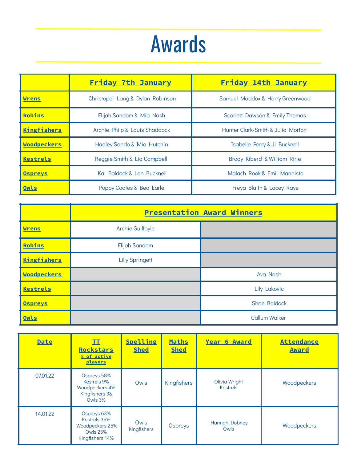## Awards

|                    | <b>Friday 7th January</b>        | <b>Friday 14th January</b>                |  |
|--------------------|----------------------------------|-------------------------------------------|--|
| Wrens              | Christoper Lang & Dylan Robinson | Samuel Maddox & Harry Greenwood           |  |
| Robins             | Elijah Sandom & Mia Nash         | <b>Scarlett Dawson &amp; Emily Thomas</b> |  |
| <b>Kingfishers</b> | Archie Philp & Louis Shaddock    | Hunter Clark-Smith & Julia Morton         |  |
| <b>Woodpeckers</b> | Hadley Sando & Mia Hutchin       | Isabelle Perry & Ji Bucknell              |  |
| Kestrels           | Reggie Smith & Lia Campbell      | Brody Kiberd & William Ririe              |  |
| <b>Ospreys</b>     | Kai Baldock & Lan Bucknell       | Malach Rook & Emil Mannisto               |  |
| Owls               | Poppy Coates & Bea Earle         | Freya Blaith & Lacey Raye                 |  |

|                    | <b>Presentation Award Winners</b> |                      |  |
|--------------------|-----------------------------------|----------------------|--|
| <b>Wrens</b>       | <b>Archie Guilfoyle</b>           |                      |  |
| Robins             | Elijah Sandom                     |                      |  |
| <b>Kingfishers</b> | <b>Lilly Springett</b>            |                      |  |
| <b>Woodpeckers</b> |                                   | Ava Nash             |  |
| <b>Kestrels</b>    |                                   | <b>Lily Lakovic</b>  |  |
| <b>Ospreys</b>     |                                   | Shae Baldock         |  |
| Owls               |                                   | <b>Callum Walker</b> |  |

| <b>Date</b> | II<br><b>Rockstars</b><br>% of active<br>players                                     | <b>Spelling</b><br><b>Shed</b> | Maths<br><b>Shed</b> | <b>Year 6 Award</b>              | <b>Attendance</b><br><b>Award</b> |
|-------------|--------------------------------------------------------------------------------------|--------------------------------|----------------------|----------------------------------|-----------------------------------|
| 07.01.22    | Ospreys 58%<br>Kestrels 9%<br>Woodpeckers 4%<br>Kingfishers 3&<br>Owls 3%            | Owls                           | Kingfishers          | Olivia Wright<br><b>Kestrels</b> | Woodpeckers                       |
| 14.01.22    | Ospreys 63%<br>Kestrels 35%<br>Woodpeckers 25%<br><b>Owls 23%</b><br>Kingfishers 14% | Owls<br>Kingfishers            | Ospreys              | Hannah Dobney<br>Owls            | Woodpeckers                       |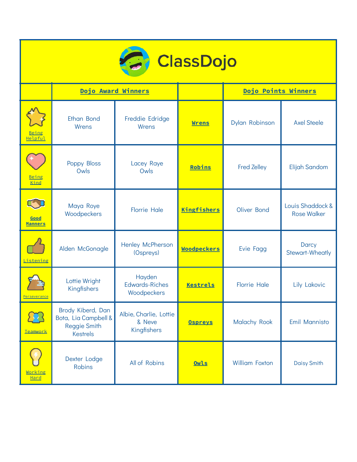| <b>ClassDojo</b>        |                                                                                     |                                                 |                    |                       |                                        |
|-------------------------|-------------------------------------------------------------------------------------|-------------------------------------------------|--------------------|-----------------------|----------------------------------------|
|                         | Dojo Award Winners                                                                  |                                                 |                    | Dojo Points Winners   |                                        |
| <u>Being</u><br>Helpful | Ethan Bond<br>Wrens                                                                 | Freddie Edridge<br>Wrens                        | <b>Wrens</b>       | Dylan Robinson        | <b>Axel Steele</b>                     |
| <u>Being</u><br>Kind    | Poppy Bloss<br>Owls                                                                 | Lacey Raye<br>Owls                              | Robins             | <b>Fred Zelley</b>    | Elijah Sandom                          |
| Good<br><b>Manners</b>  | Maya Roye<br>Woodpeckers                                                            | <b>Florrie Hale</b>                             | <b>Kingfishers</b> | Oliver Bond           | Louis Shaddock &<br><b>Rose Walker</b> |
| Listening               | Alden McGonagle                                                                     | Henley McPherson<br>(Ospreys)                   | <b>Woodpeckers</b> | Evie Fagg             | Darcy<br>Stewart-Wheatly               |
| Perseverance            | Lottie Wright<br>Kingfishers                                                        | Hayden<br><b>Edwards-Riches</b><br>Woodpeckers  | <b>Kestrels</b>    | <b>Florrie Hale</b>   | Lily Lakovic                           |
| <u>Teamwork</u>         | Brody Kiberd, Dan<br>Bota, Lia Campbell &<br><b>Reggie Smith</b><br><b>Kestrels</b> | Albie, Charlie, Lottie<br>& Neve<br>Kingfishers | <b>Ospreys</b>     | Malachy Rook          | Emil Mannisto                          |
| Working<br>Hard         | Dexter Lodge<br><b>Robins</b>                                                       | All of Robins                                   | Owls               | <b>William Foxton</b> | <b>Daisy Smith</b>                     |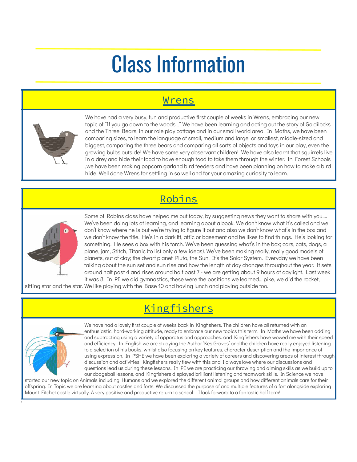# Class Information

#### Wrens



We have had a very busy, fun and productive first couple of weeks in Wrens, embracing our new topic of "If you go down to the woods…" We have been learning and acting out the story of Goldilocks and the Three Bears, in our role play cottage and in our small world area. In Maths, we have been comparing sizes, to learn the language of small, medium and large or smallest, middle-sized and biggest, comparing the three bears and comparing all sorts of objects and toys in our play, even the growing bulbs outside! We have some very observant children! We have also learnt that squirrels live in a drey and hide their food to have enough food to take them through the winter. In Forest Schools ,we have been making popcorn garland bird feeders and have been planning on how to make a bird hide. Well done Wrens for settling in so well and for your amazing curiosity to learn.

### Robins



Some of Robins class have helped me out today, by suggesting news they want to share with you…. We've been doing lots of learning, and learning about a book. We don't know what it's called and we don't know where he is but we're trying to figure it out and also we don't know what's in the box and we don't know the title. He's in a dark lft, attic or basement and he likes to find things. He's looking for something. He sees a box with his torch. We've been guessing what's in the box; cars, cats, dogs, a plane, jam, Stitch, Titanic (to list only a few ideas). We've been making really, really good models of planets, out of clay; the dwarf planet Pluto, the Sun. It's the Solar System. Everyday we have been talking about the sun set and sun rise and how the length of day changes throughout the year. It sets around half past 4 and rises around half past 7 - we are getting about 9 hours of daylight. Last week it was 8. In PE we did gymnastics, these were the positions we learned… pike, we did the rocket,

sitting star and the star. We like playing with the Base 10 and having lunch and playing outside too.

### Kingfishers



t

We have had a lovely first couple of weeks back in Kingfishers. The children have all returned with an enthusiastic, hard-working attitude, ready to embrace our new topics this term. In Maths we have been adding and subtracting using a variety of apparatus and approaches. and Kingfishers have wowed me with their speed and efficiency. In English we are studying the Author 'Kes Graves' and the children have really enjoyed listening to a selection of his books, whilst also focusing on key features, character description and the importance of using expression. In PSHE we have been exploring a variety of careers and discovering areas of interest through discussion and activities. Kingfishers really flew with this and I always love where our discussions and questions lead us during these lessons. In PE we are practicing our throwing and aiming skills as we build up to our dodgeball lessons, and Kingfishers displayed brilliant listening and teamwork skills. In Science we have

started our new topic on Animals including Humans and we explored the different animal groups and how different animals care for their offspring. In Topic we are learning about castles and forts. We discussed the purpose of and multiple features of a fort alongside exploring Mount Fitchet castle virtually. A very positive and productive return to school - I look forward to a fantastic half term!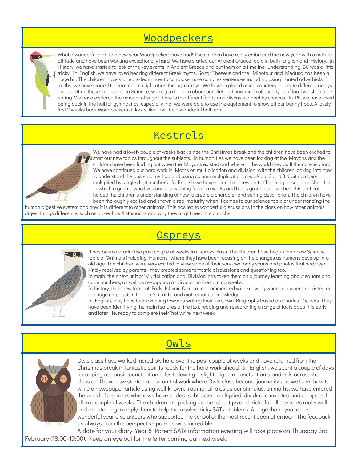#### Woodpeckers

What a wonderful start to a new year Woodpeckers have had! The children have really embraced the new year with a mature attitude and have been working exceptionally hard. We have started our Ancient Greece topic in both English and History. In History, we have started to look at the key events in Ancient Greece and put them on a timeline- understanding BC was a little tricky! In English, we have loved hearing different Greek myths. So far Theseus and the Minotaur and Medusa has been a huge hit. The children have started to learn how to compose more complex sentences including using fronted adverbials. In maths, we have started to learn our multiplication through arrays. We have explored using counters to create different arrays and partition these into parts. In Science, we begun to learn about our diet and how much of each type of food we should be eating. We have explored the amount of sugar there is in different foods and discussed healthy choices. In PE, we have loved being back in the hall for gymnastics, especially that we were able to use the equipment to show off our bunny hops. A lovely first 2 weeks back Woodpeckers- it looks like it will be a wonderful half term!

#### **Kestrels**



 $\overline{\mathbf{r}}$ 

We have had a lovely couple of weeks back since the Christmas break and the children have been excited to start our new topics throughout the subjects. In humanities we have been looking at the Mayans and the children have been finding out when the Mayans existed and where in the world they built their civilisation. We have continued our hard work in Maths on multiplication and division, with the children looking into how to understand the bus stop method and using column multiplication to work out 2 and 3 digit numbers multiplied by single digit numbers. In English we have started our new unit of learning based on a short film in which a gnome who lives under a wishing fountain works and helps grant those wishes, this unit has helped the children's understanding of how to create a character and setting description. The children have been thoroughly excited and shown a real maturity when it comes to our science topic of understanding the

human digestive system and how it is different to other animals. This has led to wonderful discussions in the class on how other animals digest things differently, such as a cow has 4 stomachs and why they might need 4 stomachs.



**Ospreys** 

It has been a productive past couple of weeks in Ospreys class. The children have begun their new Science topic of "Animals including Humans" where they have been focusing on the changes as humans develop into old age. The children were very excited to view some of their very own baby scans and photos that had been kindly received by parents - they created some fantastic discussions and questioning too.

In math, their next unit of 'Multiplication and Division' has taken them on a journey learning about square and cube numbers, as well as re-capping on division in the coming weeks.

In history, their new topic of Early Islamic Civilisation commenced with knowing when and where it existed and the huge emphasis it had on Scientific and mathematical knowledge.

In English, they have been working towards writing their very own Biography based on Charles Dickens. They have been identifying the main features of the text, reading and researching a range of facts about his early and later life, ready to complete their 'hot write' next week.



**Owls** 

Owls class have worked incredibly hard over the past couple of weeks and have returned from the Christmas break in fantastic spirits ready for the hard work ahead. In English, we spent a couple of days recapping our basic punctuation rules following a slight slight in punctuation standards across the class and have now started a new unit of work where Owls class become journalists as we learn how to write a newspaper article using well-known, traditional tales as our stimulus. In maths, we have entered the world of decimals where we have added, subtracted, multiplied, divided, converted and compared all in a couple of weeks. The children are picking up the rules, tips and tricks for all elements really well and are starting to apply them to help them solve tricky SATs problems. A huge thank you to our wonderful year 6 volunteers who supported the school at the most recent open afternoon. The feedback, as always, from the perspective parents was incredible.

A date for your diary, Year 6 Parent SATs information evening will take place on Thursday 3rd February (18:00-19:00). Keep an eye out for the letter coming out next week.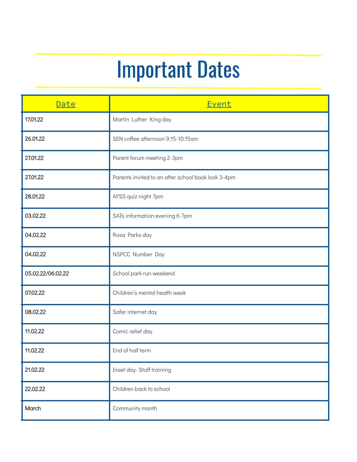# Important Dates

| Date              | Event                                              |
|-------------------|----------------------------------------------------|
| 17.01.22          | Martin Luther King day                             |
| 26.01.22          | SEN coffee afternoon 9.15-10.15am                  |
| 27.01.22          | Parent forum meeting 2-3pm                         |
| 27.01.22          | Parents invited to an after school book look 3-4pm |
| 28.01.22          | AFSS quiz night 7pm                                |
| 03.02.22          | SATs information evening 6-7pm                     |
| 04.02.22          | Rosa Parks day                                     |
| 04.02.22          | NSPCC Number Day                                   |
| 05.02.22/06.02.22 | School park run weekend                            |
| 07.02.22          | Children's mental health week                      |
| 08.02.22          | Safer internet day                                 |
| 11.02.22          | Comic relief day                                   |
| 11.02.22          | End of half term                                   |
| 21.02.22          | Inset day-Staff training                           |
| 22.02.22          | Children back to school                            |
| March             | Community month                                    |